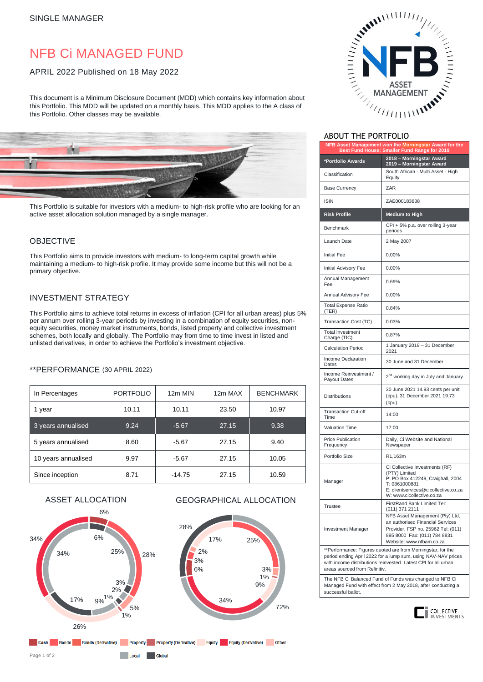# NFB Ci MANAGED FUND

#### APRIL 2022 Published on 18 May 2022

This document is a Minimum Disclosure Document (MDD) which contains key information about this Portfolio. This MDD will be updated on a monthly basis. This MDD applies to the A class of this Portfolio. Other classes may be available.



This Portfolio is suitable for investors with a medium- to high-risk profile who are looking for an active asset allocation solution managed by a single manager.

#### OBJECTIVE

This Portfolio aims to provide investors with medium- to long-term capital growth while maintaining a medium- to high-risk profile. It may provide some income but this will not be a primary objective.

## INVESTMENT STRATEGY

This Portfolio aims to achieve total returns in excess of inflation (CPI for all urban areas) plus 5% per annum over rolling 3-year periods by investing in a combination of equity securities, nonequity securities, money market instruments, bonds, listed property and collective investment schemes, both locally and globally. The Portfolio may from time to time invest in listed and unlisted derivatives, in order to achieve the Portfolio's investment objective.

#### \*\*PERFORMANCE (30 APRIL 2022)

| In Percentages      | <b>PORTFOLIO</b> | 12m MIN  | 12m MAX | <b>BENCHMARK</b> |
|---------------------|------------------|----------|---------|------------------|
| 1 year              | 10.11            | 10.11    | 23.50   | 10.97            |
| 3 years annualised  | 9.24             | $-5.67$  | 27.15   | 9.38             |
| 5 years annualised  | 8.60             | $-5.67$  | 27.15   | 9.40             |
| 10 years annualised | 9.97             | $-5.67$  | 27.15   | 10.05            |
| Since inception     | 8.71             | $-14.75$ | 27.15   | 10.59            |

3% 1% 9%

72%

#### ASSET ALLOCATION GEOGRAPHICAL ALLOCATION





### ABOUT THE PORTFOLIO

| 10 U U I<br>.<br>╯┕╵                                                                                   |                                                                                                                                                                            |  |  |  |
|--------------------------------------------------------------------------------------------------------|----------------------------------------------------------------------------------------------------------------------------------------------------------------------------|--|--|--|
| NFB Asset Management won the Morningstar Award for the<br>Best Fund House: Smaller Fund Range for 2019 |                                                                                                                                                                            |  |  |  |
| *Portfolio Awards                                                                                      | 2018 - Morningstar Award<br>2019 - Morningstar Award                                                                                                                       |  |  |  |
| Classification                                                                                         | South African - Multi Asset - High<br>Equity                                                                                                                               |  |  |  |
| <b>Base Currency</b>                                                                                   | ZAR                                                                                                                                                                        |  |  |  |
| <b>ISIN</b>                                                                                            | ZAE000183638                                                                                                                                                               |  |  |  |
| <b>Risk Profile</b>                                                                                    | <b>Medium to High</b>                                                                                                                                                      |  |  |  |
| Benchmark                                                                                              | CPI + 5% p.a. over rolling 3-year<br>periods                                                                                                                               |  |  |  |
| Launch Date                                                                                            | 2 May 2007                                                                                                                                                                 |  |  |  |
| <b>Initial Fee</b>                                                                                     | 0.00%                                                                                                                                                                      |  |  |  |
| Initial Advisory Fee                                                                                   | 0.00%                                                                                                                                                                      |  |  |  |
| Annual Management<br>Fee                                                                               | 0.69%                                                                                                                                                                      |  |  |  |
| Annual Advisory Fee                                                                                    | 0.00%                                                                                                                                                                      |  |  |  |
| <b>Total Expense Ratio</b><br>(TER)                                                                    | 0.84%                                                                                                                                                                      |  |  |  |
| Transaction Cost (TC)                                                                                  | 0.03%                                                                                                                                                                      |  |  |  |
| <b>Total Investment</b><br>Charge (TIC)                                                                | 0.87%                                                                                                                                                                      |  |  |  |
| <b>Calculation Period</b>                                                                              | 1 January 2019 - 31 December<br>2021                                                                                                                                       |  |  |  |
| Income Declaration<br>Dates                                                                            | 30 June and 31 December                                                                                                                                                    |  |  |  |
| Income Reinvestment /<br>Payout Dates                                                                  | 2 <sup>nd</sup> working day in July and January                                                                                                                            |  |  |  |
| <b>Distributions</b>                                                                                   | 30 June 2021 14.93 cents per unit<br>(cpu). 31 December 2021 19.73<br>(cpu).                                                                                               |  |  |  |
| <b>Transaction Cut-off</b><br>Time                                                                     | 14:00                                                                                                                                                                      |  |  |  |
| <b>Valuation Time</b>                                                                                  | 17:00                                                                                                                                                                      |  |  |  |
| <b>Price Publication</b><br>Frequency                                                                  | Daily, Ci Website and National<br>Newspaper                                                                                                                                |  |  |  |
| Portfolio Size                                                                                         | R1,163m                                                                                                                                                                    |  |  |  |
| Manager                                                                                                | Ci Collective Investments (RF)<br>(PTY) Limited<br>P: PO Box 412249, Craighall, 2004<br>T: 0861000881<br>E: clientservices@cicollective.co.za<br>W: www.cicollective.co.za |  |  |  |
| <b>Trustee</b>                                                                                         | FirstRand Bank Limited Tel:<br>(011) 371 2111                                                                                                                              |  |  |  |
| Investment Manager                                                                                     | NFB Asset Management (Pty) Ltd,<br>an authorised Financial Services<br>Provider, FSP no. 25962 Tel: (011)<br>895 8000 Fax: (011) 784 8831<br>Website: www.nfbam.co.za      |  |  |  |
| ** Derformance: Eigures gueted are from Merningster, for the                                           |                                                                                                                                                                            |  |  |  |

\*\*Performance: Figures quoted are from Morningstar, for the period ending April 2022 for a lump sum, using NAV-NAV prices with income distributions reinvested. Latest CPI for all urban areas sourced from Refinitiv.

The NFB Ci Balanced Fund of Funds was changed to NFB Ci Managed Fund with effect from 2 May 2018, after conducting a successful ballot.



Page 1 of 2

 $10<sub>cat</sub>$ **Global**